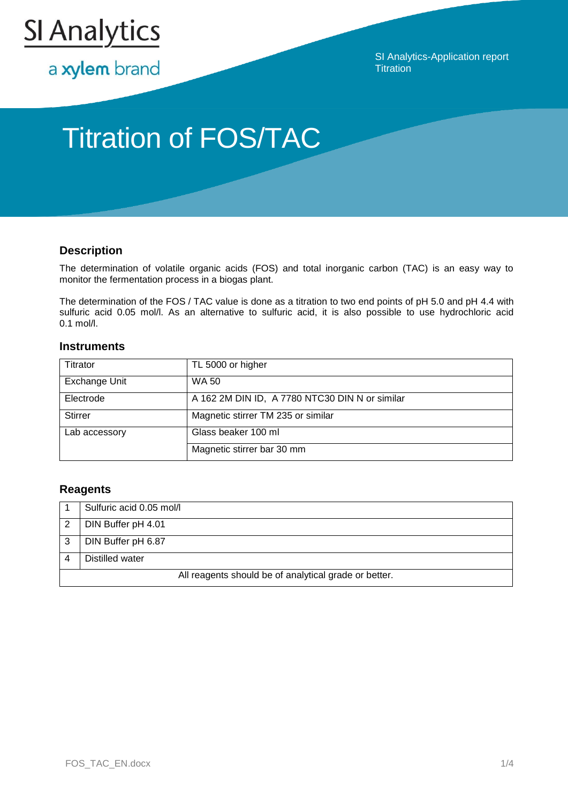

a xylem brand

SI Analytics-Application report **Titration** 

# Titration of FOS/TAC

## **Description**

The determination of volatile organic acids (FOS) and total inorganic carbon (TAC) is an easy way to monitor the fermentation process in a biogas plant.

The determination of the FOS / TAC value is done as a titration to two end points of pH 5.0 and pH 4.4 with sulfuric acid 0.05 mol/l. As an alternative to sulfuric acid, it is also possible to use hydrochloric acid 0.1 mol/l.

### **Instruments**

| Titrator       | TL 5000 or higher                              |
|----------------|------------------------------------------------|
| Exchange Unit  | WA 50                                          |
| Electrode      | A 162 2M DIN ID, A 7780 NTC30 DIN N or similar |
| <b>Stirrer</b> | Magnetic stirrer TM 235 or similar             |
| Lab accessory  | Glass beaker 100 ml                            |
|                | Magnetic stirrer bar 30 mm                     |

## **Reagents**

|   | Sulfuric acid 0.05 mol/l                              |
|---|-------------------------------------------------------|
| 2 | DIN Buffer pH 4.01                                    |
| 3 | DIN Buffer pH 6.87                                    |
|   | Distilled water                                       |
|   | All reagents should be of analytical grade or better. |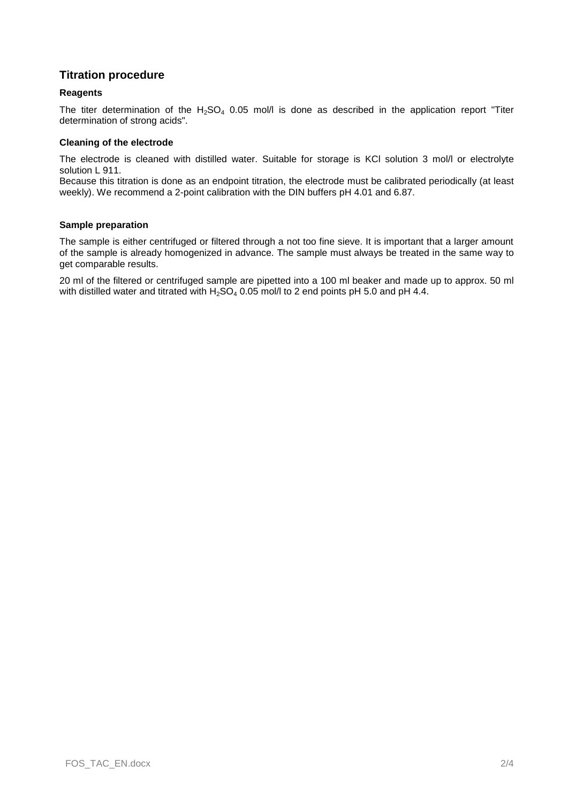## **Titration procedure**

#### **Reagents**

The titer determination of the  $H_2SO_4$  0.05 mol/l is done as described in the application report "Titer determination of strong acids".

#### **Cleaning of the electrode**

The electrode is cleaned with distilled water. Suitable for storage is KCl solution 3 mol/l or electrolyte solution L 911.

Because this titration is done as an endpoint titration, the electrode must be calibrated periodically (at least weekly). We recommend a 2-point calibration with the DIN buffers pH 4.01 and 6.87.

#### **Sample preparation**

The sample is either centrifuged or filtered through a not too fine sieve. It is important that a larger amount of the sample is already homogenized in advance. The sample must always be treated in the same way to get comparable results.

20 ml of the filtered or centrifuged sample are pipetted into a 100 ml beaker and made up to approx. 50 ml with distilled water and titrated with  $H_2SO_4$  0.05 mol/l to 2 end points pH 5.0 and pH 4.4.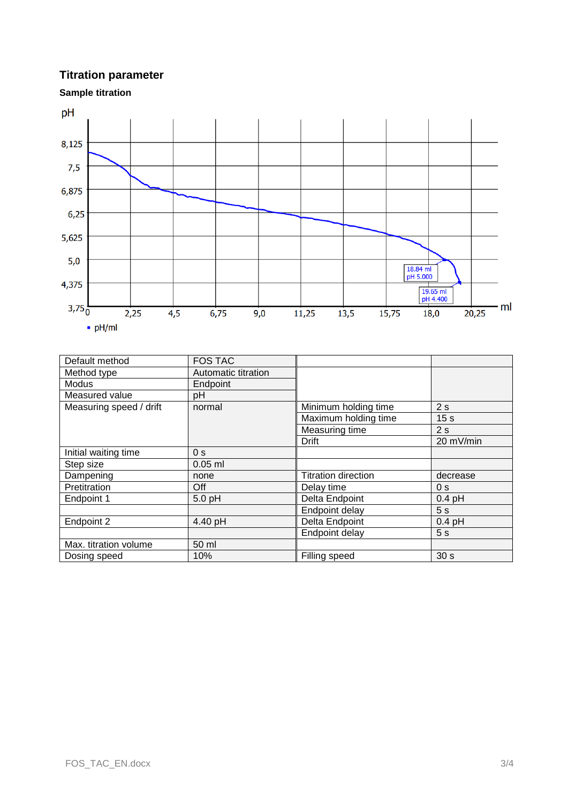## **Titration parameter**

**Sample titration**



| Default method          | <b>FOS TAC</b>      |                            |                 |
|-------------------------|---------------------|----------------------------|-----------------|
| Method type             | Automatic titration |                            |                 |
| <b>Modus</b>            | Endpoint            |                            |                 |
| Measured value          | рH                  |                            |                 |
| Measuring speed / drift | normal              | Minimum holding time       | 2s              |
|                         |                     | Maximum holding time       | 15 <sub>s</sub> |
|                         |                     | Measuring time             | 2s              |
|                         |                     | Drift                      | 20 mV/min       |
| Initial waiting time    | 0 <sub>s</sub>      |                            |                 |
| Step size               | $0.05$ ml           |                            |                 |
| Dampening               | none                | <b>Titration direction</b> | decrease        |
| Pretitration            | Off                 | Delay time                 | 0 <sub>s</sub>  |
| Endpoint 1              | $5.0$ pH            | Delta Endpoint             | $0.4$ pH        |
|                         |                     | Endpoint delay             | 5s              |
| Endpoint 2              | 4.40 pH             | Delta Endpoint             | $0.4$ pH        |
|                         |                     | Endpoint delay             | 5s              |
| Max. titration volume   | 50 ml               |                            |                 |
| Dosing speed            | 10%                 | Filling speed              | 30 <sub>s</sub> |